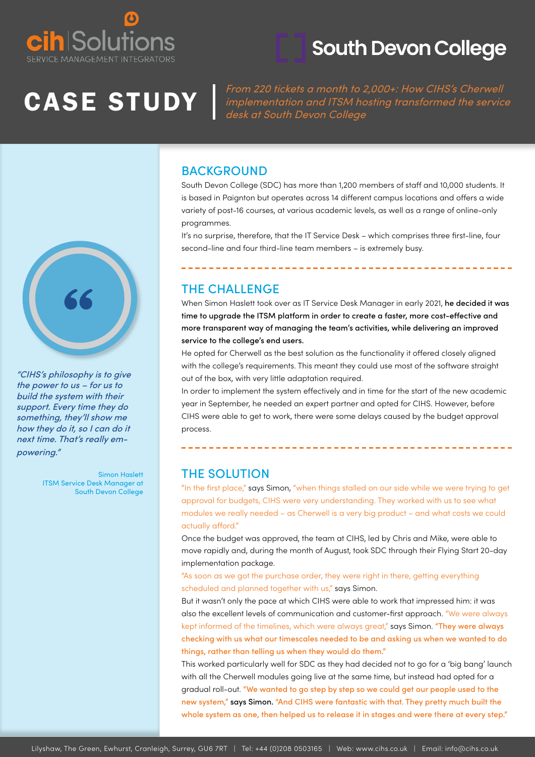

### **South Devon College**

CASE STUDY From 220 tickets a month to 2,000+: How CIHS's Cherwell<br>implementation and ITSM hosting transformed the service implementation and ITSM hosting transformed the service desk at South Devon College

#### **BACKGROUND**

South Devon College (SDC) has more than 1,200 members of staff and 10,000 students. It is based in Paignton but operates across 14 different campus locations and offers a wide variety of post-16 courses, at various academic levels, as well as a range of online-only programmes.

It's no surprise, therefore, that the IT Service Desk – which comprises three first-line, four second-line and four third-line team members – is extremely busy.

### THE CHALLENGE

When Simon Haslett took over as IT Service Desk Manager in early 2021, he decided it was time to upgrade the ITSM platform in order to create a faster, more cost-effective and more transparent way of managing the team's activities, while delivering an improved service to the college's end users.

He opted for Cherwell as the best solution as the functionality it offered closely aligned with the college's requirements. This meant they could use most of the software straight out of the box, with very little adaptation required.

In order to implement the system effectively and in time for the start of the new academic year in September, he needed an expert partner and opted for CIHS. However, before CIHS were able to get to work, there were some delays caused by the budget approval process.

#### THE SOLUTION

"In the first place," says Simon, "when things stalled on our side while we were trying to get approval for budgets, CIHS were very understanding. They worked with us to see what modules we really needed – as Cherwell is a very big product – and what costs we could actually afford."

Once the budget was approved, the team at CIHS, led by Chris and Mike, were able to move rapidly and, during the month of August, took SDC through their Flying Start 20-day implementation package.

"As soon as we got the purchase order, they were right in there, getting everything scheduled and planned together with us," says Simon.

But it wasn't only the pace at which CIHS were able to work that impressed him: it was also the excellent levels of communication and customer-first approach. "We were always kept informed of the timelines, which were always great," says Simon. "They were always checking with us what our timescales needed to be and asking us when we wanted to do things, rather than telling us when they would do them."

This worked particularly well for SDC as they had decided not to go for a 'big bang' launch with all the Cherwell modules going live at the same time, but instead had opted for a gradual roll-out. "We wanted to go step by step so we could get our people used to the new system," says Simon. "And CIHS were fantastic with that. They pretty much built the whole system as one, then helped us to release it in stages and were there at every step."



"CIHS's philosophy is to give the power to us – for us to build the system with their support. Every time they do something, they'll show me how they do it, so I can do it next time. That's really empowering."

> Simon Haslett ITSM Service Desk Manager at South Devon College